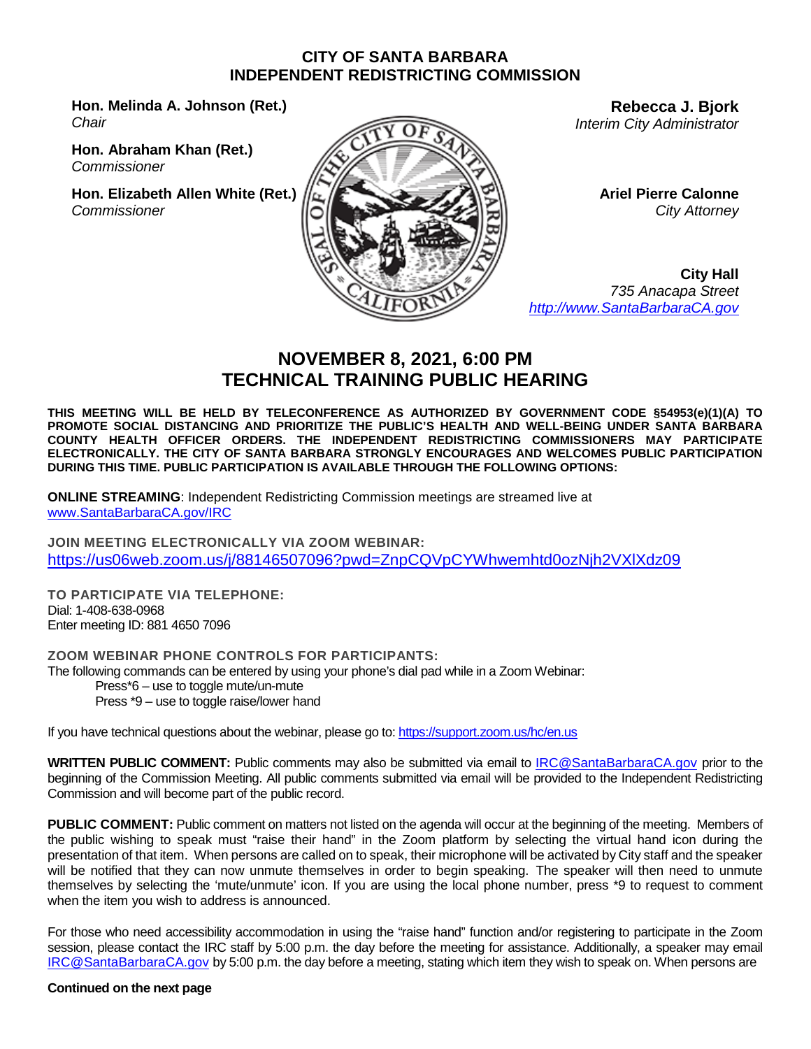#### **CITY OF SANTA BARBARA INDEPENDENT REDISTRICTING COMMISSION**

**Hon. Melinda A. Johnson (Ret.)** *Chair*

**Hon. Abraham Khan (Ret.)** *Commissioner*

**Hon. Elizabeth Allen White (Ret.)** *Commissioner*



**Rebecca J. Bjork** *Interim City Administrator*

> **Ariel Pierre Calonne** *City Attorney*

**City Hall** *735 Anacapa Street [http://www.SantaBarbaraCA.gov](http://www.santabarbaraca.gov/)*

# **NOVEMBER 8, 2021, 6:00 PM TECHNICAL TRAINING PUBLIC HEARING**

**THIS MEETING WILL BE HELD BY TELECONFERENCE AS AUTHORIZED BY GOVERNMENT CODE §54953(e)(1)(A) TO PROMOTE SOCIAL DISTANCING AND PRIORITIZE THE PUBLIC'S HEALTH AND WELL-BEING UNDER SANTA BARBARA COUNTY HEALTH OFFICER ORDERS. THE INDEPENDENT REDISTRICTING COMMISSIONERS MAY PARTICIPATE ELECTRONICALLY. THE CITY OF SANTA BARBARA STRONGLY ENCOURAGES AND WELCOMES PUBLIC PARTICIPATION DURING THIS TIME. PUBLIC PARTICIPATION IS AVAILABLE THROUGH THE FOLLOWING OPTIONS:** 

**ONLINE STREAMING**: Independent Redistricting Commission meetings are streamed live at [www.SantaBarbaraCA.gov/IRC](http://www.santabarbaraca.gov/IRC)

**JOIN MEETING ELECTRONICALLY VIA ZOOM WEBINAR:** <https://us06web.zoom.us/j/88146507096?pwd=ZnpCQVpCYWhwemhtd0ozNjh2VXlXdz09>

**TO PARTICIPATE VIA TELEPHONE:** Dial: 1-408-638-0968 Enter meeting ID: 881 4650 7096

**ZOOM WEBINAR PHONE CONTROLS FOR PARTICIPANTS:**  The following commands can be entered by using your phone's dial pad while in a Zoom Webinar: Press\*6 – use to toggle mute/un-mute Press \*9 – use to toggle raise/lower hand

If you have technical questions about the webinar, please go to:<https://support.zoom.us/hc/en.us>

**WRITTEN PUBLIC COMMENT:** Public comments may also be submitted via email to **[IRC@SantaBarbaraCA.gov](mailto:IRC@SantaBarbaraCA.gov)** prior to the beginning of the Commission Meeting. All public comments submitted via email will be provided to the Independent Redistricting Commission and will become part of the public record.

**PUBLIC COMMENT:** Public comment on matters not listed on the agenda will occur at the beginning of the meeting. Members of the public wishing to speak must "raise their hand" in the Zoom platform by selecting the virtual hand icon during the presentation of that item. When persons are called on to speak, their microphone will be activated by City staff and the speaker will be notified that they can now unmute themselves in order to begin speaking. The speaker will then need to unmute themselves by selecting the 'mute/unmute' icon. If you are using the local phone number, press \*9 to request to comment when the item you wish to address is announced.

For those who need accessibility accommodation in using the "raise hand" function and/or registering to participate in the Zoom session, please contact the IRC staff by 5:00 p.m. the day before the meeting for assistance. Additionally, a speaker may email [IRC@SantaBarbaraCA.gov](mailto:IRC@SantaBarbaraCA.gov) by 5:00 p.m. the day before a meeting, stating which item they wish to speak on. When persons are

#### **Continued on the next page**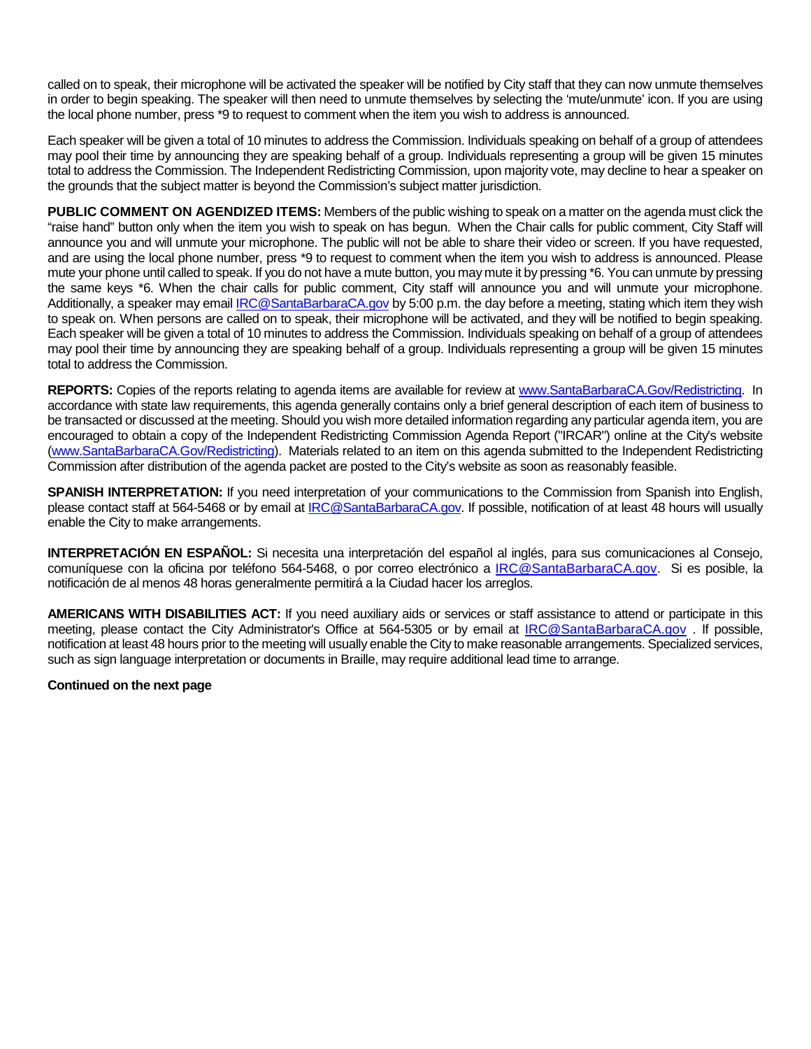called on to speak, their microphone will be activated the speaker will be notified by City staff that they can now unmute themselves in order to begin speaking. The speaker will then need to unmute themselves by selecting the 'mute/unmute' icon. If you are using the local phone number, press \*9 to request to comment when the item you wish to address is announced.

Each speaker will be given a total of 10 minutes to address the Commission. Individuals speaking on behalf of a group of attendees may pool their time by announcing they are speaking behalf of a group. Individuals representing a group will be given 15 minutes total to address the Commission. The Independent Redistricting Commission, upon majority vote, may decline to hear a speaker on the grounds that the subject matter is beyond the Commission's subject matter jurisdiction.

**PUBLIC COMMENT ON AGENDIZED ITEMS:** Members of the public wishing to speak on a matter on the agenda must click the "raise hand" button only when the item you wish to speak on has begun. When the Chair calls for public comment, City Staff will announce you and will unmute your microphone. The public will not be able to share their video or screen. If you have requested, and are using the local phone number, press \*9 to request to comment when the item you wish to address is announced. Please mute your phone until called to speak. If you do not have a mute button, you may mute it by pressing \*6. You can unmute by pressing the same keys \*6. When the chair calls for public comment, City staff will announce you and will unmute your microphone. Additionally, a speaker may email [IRC@SantaBarbaraCA.gov](mailto:IRC@SantaBarbaraCA.gov) by 5:00 p.m. the day before a meeting, stating which item they wish to speak on. When persons are called on to speak, their microphone will be activated, and they will be notified to begin speaking. Each speaker will be given a total of 10 minutes to address the Commission. Individuals speaking on behalf of a group of attendees may pool their time by announcing they are speaking behalf of a group. Individuals representing a group will be given 15 minutes total to address the Commission.

**REPORTS:** Copies of the reports relating to agenda items are available for review at [www.SantaBarbaraCA.Gov/Redistricting.](http://www.santabarbaraca.gov/Redistricting) In accordance with state law requirements, this agenda generally contains only a brief general description of each item of business to be transacted or discussed at the meeting. Should you wish more detailed information regarding any particular agenda item, you are encouraged to obtain a copy of the Independent Redistricting Commission Agenda Report ("IRCAR") online at the City's website [\(www.SantaBarbaraCA.Gov/Redistricting\)](http://www.santabarbaraca.gov/Redistricting). Materials related to an item on this agenda submitted to the Independent Redistricting Commission after distribution of the agenda packet are posted to the City's website as soon as reasonably feasible.

**SPANISH INTERPRETATION:** If you need interpretation of your communications to the Commission from Spanish into English, please contact staff at 564-5468 or by email at [IRC@SantaBarbaraCA.gov.](mailto:IRC@SantaBarbaraCA.gov) If possible, notification of at least 48 hours will usually enable the City to make arrangements.

**INTERPRETACIÓN EN ESPAÑOL:** Si necesita una interpretación del español al inglés, para sus comunicaciones al Consejo, comuníquese con la oficina por teléfono 564-5468, o por correo electrónico a [IRC@SantaBarbaraCA.gov.](mailto:IRC@SantaBarbaraCA.gov) Si es posible, la notificación de al menos 48 horas generalmente permitirá a la Ciudad hacer los arreglos.

**AMERICANS WITH DISABILITIES ACT:** If you need auxiliary aids or services or staff assistance to attend or participate in this meeting, please contact the City Administrator's Office at 564-5305 or by email at [IRC@SantaBarbaraCA.gov](mailto:IRC@SantaBarbaraCA.gov) . If possible, notification at least 48 hours prior to the meeting will usually enable the City to make reasonable arrangements. Specialized services, such as sign language interpretation or documents in Braille, may require additional lead time to arrange.

#### **Continued on the next page**